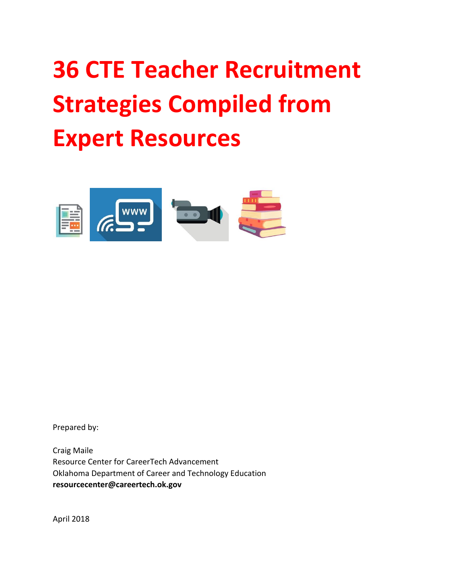## **36 CTE Teacher Recruitment Strategies Compiled from Expert Resources**



Prepared by:

Craig Maile Resource Center for CareerTech Advancement Oklahoma Department of Career and Technology Education **resourcecenter@careertech.ok.gov**

April 2018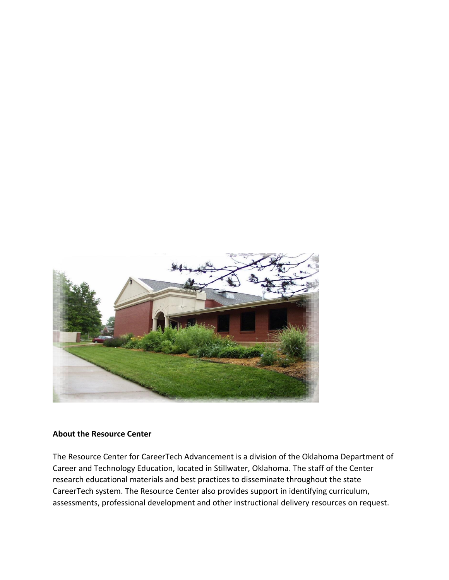

## **About the Resource Center**

The Resource Center for CareerTech Advancement is a division of the Oklahoma Department of Career and Technology Education, located in Stillwater, Oklahoma. The staff of the Center research educational materials and best practices to disseminate throughout the state CareerTech system. The Resource Center also provides support in identifying curriculum, assessments, professional development and other instructional delivery resources on request.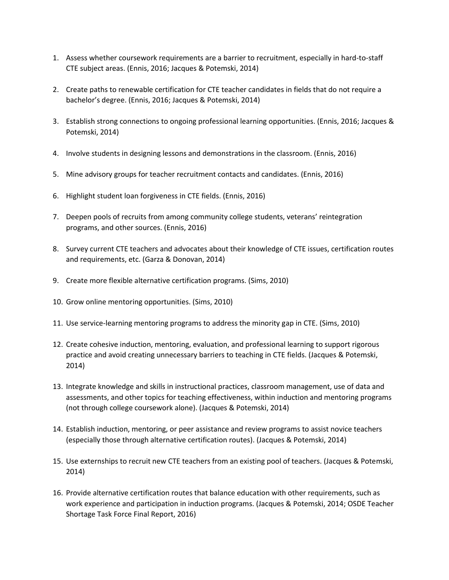- 1. Assess whether coursework requirements are a barrier to recruitment, especially in hard-to-staff CTE subject areas. (Ennis, 2016; Jacques & Potemski, 2014)
- 2. Create paths to renewable certification for CTE teacher candidates in fields that do not require a bachelor's degree. (Ennis, 2016; Jacques & Potemski, 2014)
- 3. Establish strong connections to ongoing professional learning opportunities. (Ennis, 2016; Jacques & Potemski, 2014)
- 4. Involve students in designing lessons and demonstrations in the classroom. (Ennis, 2016)
- 5. Mine advisory groups for teacher recruitment contacts and candidates. (Ennis, 2016)
- 6. Highlight student loan forgiveness in CTE fields. (Ennis, 2016)
- 7. Deepen pools of recruits from among community college students, veterans' reintegration programs, and other sources. (Ennis, 2016)
- 8. Survey current CTE teachers and advocates about their knowledge of CTE issues, certification routes and requirements, etc. (Garza & Donovan, 2014)
- 9. Create more flexible alternative certification programs. (Sims, 2010)
- 10. Grow online mentoring opportunities. (Sims, 2010)
- 11. Use service-learning mentoring programs to address the minority gap in CTE. (Sims, 2010)
- 12. Create cohesive induction, mentoring, evaluation, and professional learning to support rigorous practice and avoid creating unnecessary barriers to teaching in CTE fields. (Jacques & Potemski, 2014)
- 13. Integrate knowledge and skills in instructional practices, classroom management, use of data and assessments, and other topics for teaching effectiveness, within induction and mentoring programs (not through college coursework alone). (Jacques & Potemski, 2014)
- 14. Establish induction, mentoring, or peer assistance and review programs to assist novice teachers (especially those through alternative certification routes). (Jacques & Potemski, 2014)
- 15. Use externships to recruit new CTE teachers from an existing pool of teachers. (Jacques & Potemski, 2014)
- 16. Provide alternative certification routes that balance education with other requirements, such as work experience and participation in induction programs. (Jacques & Potemski, 2014; OSDE Teacher Shortage Task Force Final Report, 2016)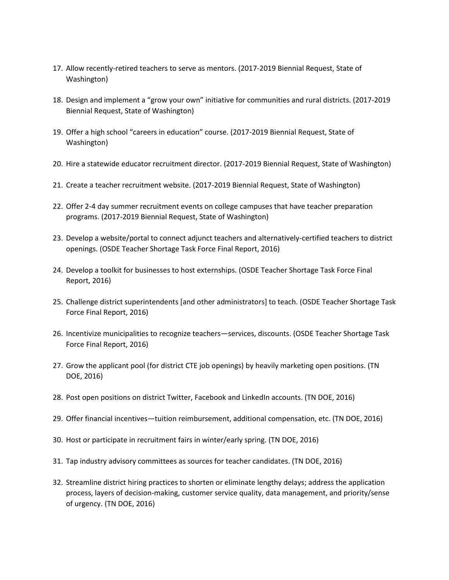- 17. Allow recently-retired teachers to serve as mentors. (2017-2019 Biennial Request, State of Washington)
- 18. Design and implement a "grow your own" initiative for communities and rural districts. (2017-2019 Biennial Request, State of Washington)
- 19. Offer a high school "careers in education" course. (2017-2019 Biennial Request, State of Washington)
- 20. Hire a statewide educator recruitment director. (2017-2019 Biennial Request, State of Washington)
- 21. Create a teacher recruitment website. (2017-2019 Biennial Request, State of Washington)
- 22. Offer 2-4 day summer recruitment events on college campuses that have teacher preparation programs. (2017-2019 Biennial Request, State of Washington)
- 23. Develop a website/portal to connect adjunct teachers and alternatively-certified teachers to district openings. (OSDE Teacher Shortage Task Force Final Report, 2016)
- 24. Develop a toolkit for businesses to host externships. (OSDE Teacher Shortage Task Force Final Report, 2016)
- 25. Challenge district superintendents [and other administrators] to teach. (OSDE Teacher Shortage Task Force Final Report, 2016)
- 26. Incentivize municipalities to recognize teachers—services, discounts. (OSDE Teacher Shortage Task Force Final Report, 2016)
- 27. Grow the applicant pool (for district CTE job openings) by heavily marketing open positions. (TN DOE, 2016)
- 28. Post open positions on district Twitter, Facebook and LinkedIn accounts. (TN DOE, 2016)
- 29. Offer financial incentives—tuition reimbursement, additional compensation, etc. (TN DOE, 2016)
- 30. Host or participate in recruitment fairs in winter/early spring. (TN DOE, 2016)
- 31. Tap industry advisory committees as sources for teacher candidates. (TN DOE, 2016)
- 32. Streamline district hiring practices to shorten or eliminate lengthy delays; address the application process, layers of decision-making, customer service quality, data management, and priority/sense of urgency. (TN DOE, 2016)